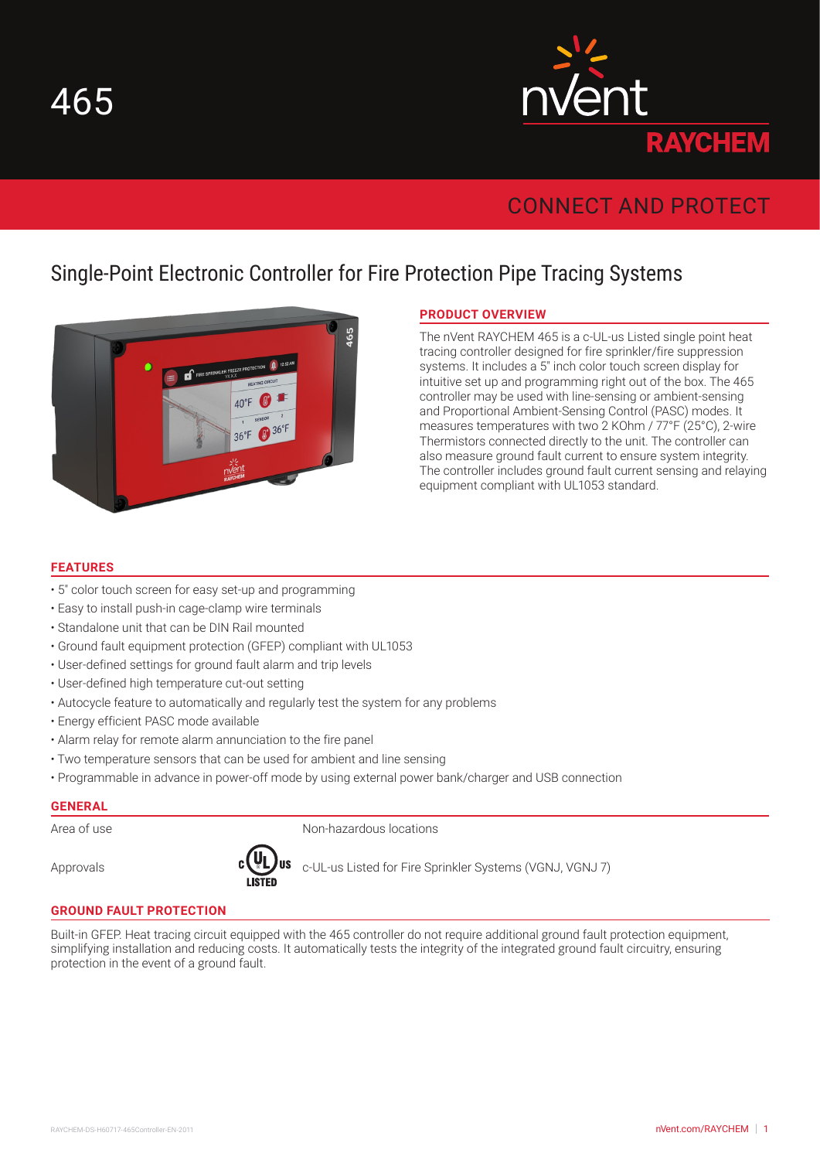

# CONNECT AND PROTECT

# Single-Point Electronic Controller for Fire Protection Pipe Tracing Systems



## **PRODUCT OVERVIEW**

The nVent RAYCHEM 465 is a c-UL-us Listed single point heat tracing controller designed for fire sprinkler/fire suppression systems. It includes a 5" inch color touch screen display for intuitive set up and programming right out of the box. The 465 controller may be used with line-sensing or ambient-sensing and Proportional Ambient-Sensing Control (PASC) modes. It measures temperatures with two 2 KOhm / 77°F (25°C), 2-wire Thermistors connected directly to the unit. The controller can also measure ground fault current to ensure system integrity. The controller includes ground fault current sensing and relaying equipment compliant with UL1053 standard.

#### **FEATURES**

- 5" color touch screen for easy set-up and programming
- Easy to install push-in cage-clamp wire terminals
- Standalone unit that can be DIN Rail mounted
- Ground fault equipment protection (GFEP) compliant with UL1053
- User-defined settings for ground fault alarm and trip levels
- User-defined high temperature cut-out setting
- Autocycle feature to automatically and regularly test the system for any problems
- Energy efficient PASC mode available
- Alarm relay for remote alarm annunciation to the fire panel
- Two temperature sensors that can be used for ambient and line sensing
- Programmable in advance in power-off mode by using external power bank/charger and USB connection

#### **GENERAL**

Area of use Non-hazardous locations



Approvals **come**  $\mathbf{C} \cup \mathbf{C}$  **and**  $\mathbf{C} \cup \mathbf{C}$  **are CUL-us Listed for Fire Sprinkler Systems (VGNJ, VGNJ 7)** 

#### **GROUND FAULT PROTECTION**

Built-in GFEP. Heat tracing circuit equipped with the 465 controller do not require additional ground fault protection equipment, simplifying installation and reducing costs. It automatically tests the integrity of the integrated ground fault circuitry, ensuring protection in the event of a ground fault.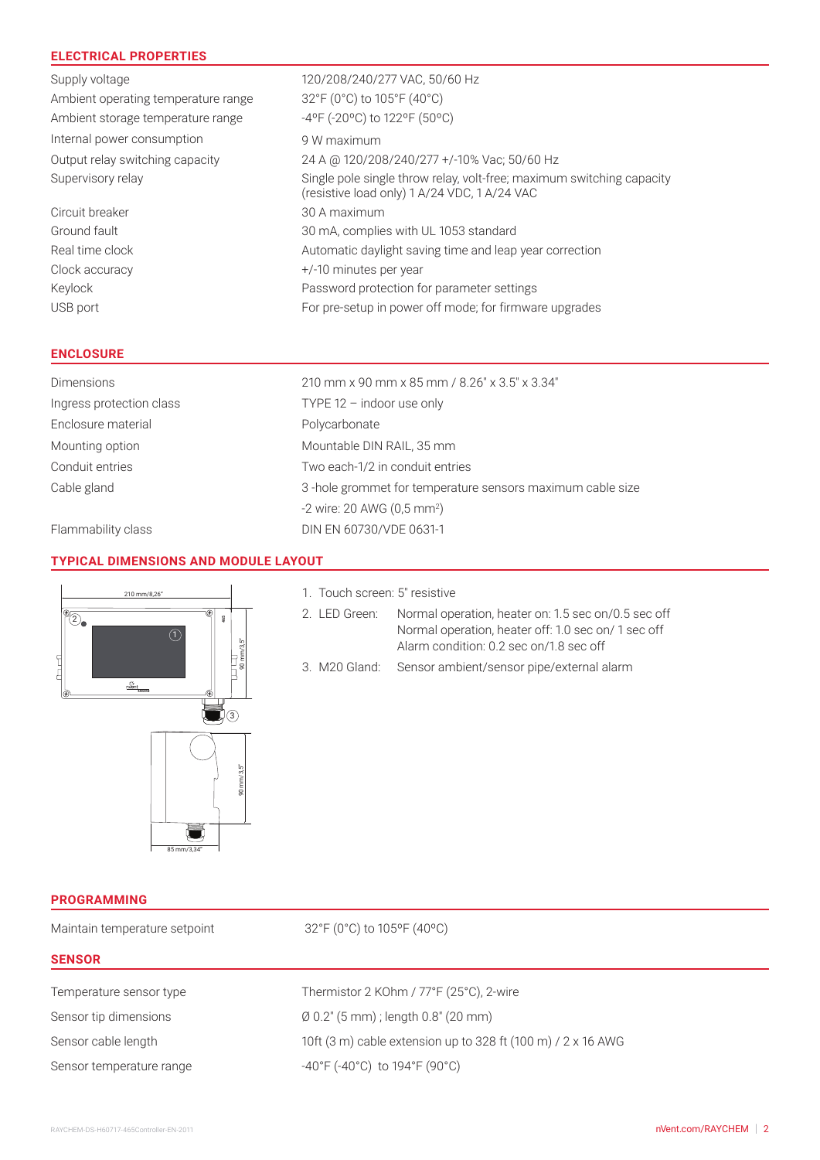## **ELECTRICAL PROPERTIES**

| Supply voltage                      | 120/208/240/277 VAC, 50/60 Hz                                                                                         |
|-------------------------------------|-----------------------------------------------------------------------------------------------------------------------|
| Ambient operating temperature range | 32°F (0°C) to 105°F (40°C)                                                                                            |
| Ambient storage temperature range   | -4°F (-20°C) to 122°F (50°C)                                                                                          |
| Internal power consumption          | 9 W maximum                                                                                                           |
| Output relay switching capacity     | 24 A @ 120/208/240/277 +/-10% Vac; 50/60 Hz                                                                           |
| Supervisory relay                   | Single pole single throw relay, volt-free; maximum switching capacity<br>(resistive load only) 1 A/24 VDC, 1 A/24 VAC |
| Circuit breaker                     | 30 A maximum                                                                                                          |
| Ground fault                        | 30 mA, complies with UL 1053 standard                                                                                 |
| Real time clock                     | Automatic daylight saving time and leap year correction                                                               |
| Clock accuracy                      | $+/-10$ minutes per year                                                                                              |
| Keylock                             | Password protection for parameter settings                                                                            |
| USB port                            | For pre-setup in power off mode; for firmware upgrades                                                                |

#### **ENCLOSURE**

| <b>Dimensions</b>        | 210 mm x 90 mm x 85 mm / 8.26" x 3.5" x 3.34"             |  |  |
|--------------------------|-----------------------------------------------------------|--|--|
| Ingress protection class | TYPE $12 -$ indoor use only                               |  |  |
| Enclosure material       | Polycarbonate                                             |  |  |
| Mounting option          | Mountable DIN RAIL, 35 mm                                 |  |  |
| Conduit entries          | Two each-1/2 in conduit entries                           |  |  |
| Cable gland              | 3-hole grommet for temperature sensors maximum cable size |  |  |
|                          | $-2$ wire: 20 AWG (0,5 mm <sup>2</sup> )                  |  |  |

Flammability class DIN EN 60730/VDE 0631-1

#### **TYPICAL DIMENSIONS AND MODULE LAYOUT**



1. Touch screen: 5" resistive

2. LED Green: Normal operation, heater on: 1.5 sec on/0.5 sec off Normal operation, heater off: 1.0 sec on/ 1 sec off Alarm condition: 0.2 sec on/1.8 sec off

3. M20 Gland: Sensor ambient/sensor pipe/external alarm

**PROGRAMMING**

| <b>PROGRAMMING</b>            |                                                                          |  |
|-------------------------------|--------------------------------------------------------------------------|--|
| Maintain temperature setpoint | 32°F (0°C) to 105°F (40°C)                                               |  |
| <b>SENSOR</b>                 |                                                                          |  |
| Temperature sensor type       | Thermistor 2 KOhm / 77°F (25°C), 2-wire                                  |  |
| Sensor tip dimensions         | $\emptyset$ 0.2" (5 mm); length 0.8" (20 mm)                             |  |
| Sensor cable length           | 10ft (3 m) cable extension up to 328 ft (100 m) / 2 x 16 AWG             |  |
| Sensor temperature range      | $-40^{\circ}$ F (-40 $^{\circ}$ C) to 194 $^{\circ}$ F (90 $^{\circ}$ C) |  |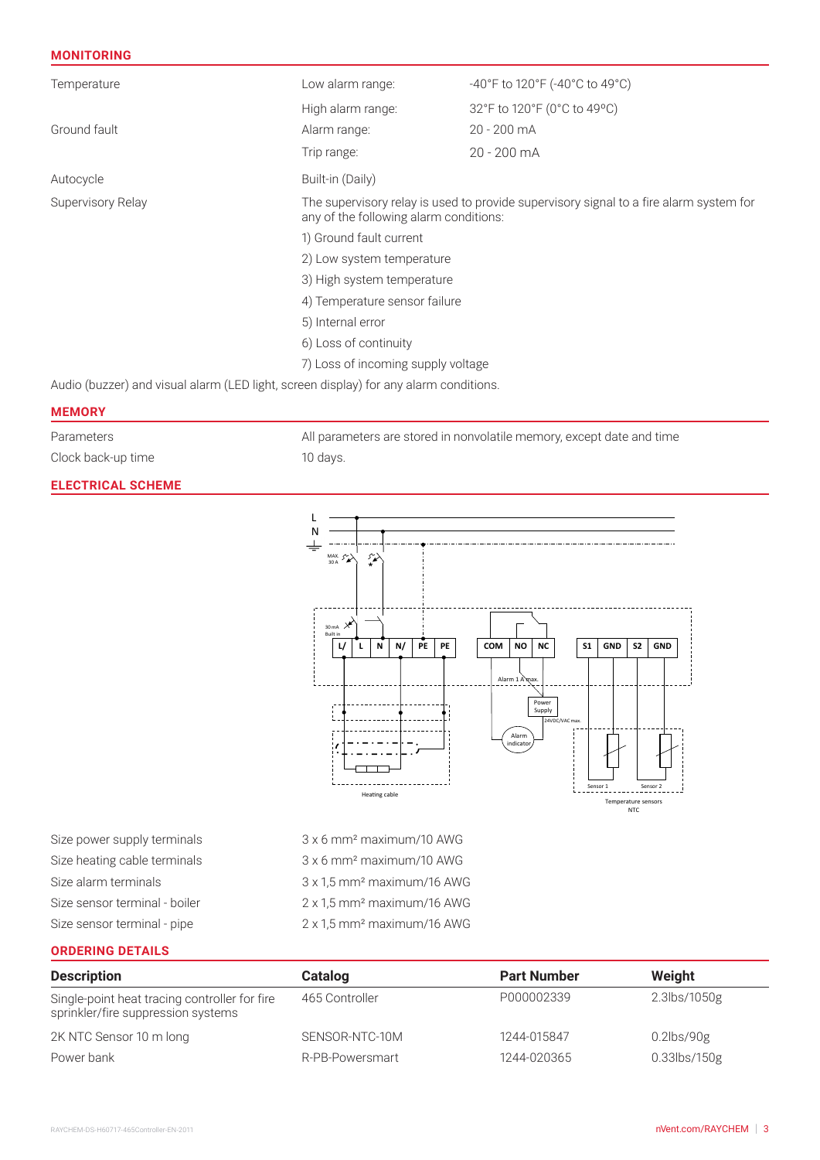#### **MONITORING**

| Temperature                                                                           | Low alarm range:                                                                                                                 | -40°F to 120°F (-40°C to 49°C) |  |  |
|---------------------------------------------------------------------------------------|----------------------------------------------------------------------------------------------------------------------------------|--------------------------------|--|--|
|                                                                                       | High alarm range:                                                                                                                | 32°F to 120°F (0°C to 49°C)    |  |  |
| Ground fault                                                                          | Alarm range:                                                                                                                     | 20 - 200 mA                    |  |  |
|                                                                                       | Trip range:                                                                                                                      | 20 - 200 mA                    |  |  |
| Autocycle                                                                             | Built-in (Daily)                                                                                                                 |                                |  |  |
| Supervisory Relay                                                                     | The supervisory relay is used to provide supervisory signal to a fire alarm system for<br>any of the following alarm conditions: |                                |  |  |
|                                                                                       | 1) Ground fault current                                                                                                          |                                |  |  |
|                                                                                       | 2) Low system temperature                                                                                                        |                                |  |  |
|                                                                                       | 3) High system temperature                                                                                                       |                                |  |  |
|                                                                                       | 4) Temperature sensor failure                                                                                                    |                                |  |  |
|                                                                                       | 5) Internal error                                                                                                                |                                |  |  |
|                                                                                       | 6) Loss of continuity                                                                                                            |                                |  |  |
|                                                                                       | 7) Loss of incoming supply voltage                                                                                               |                                |  |  |
| Audio (buzzer) and visual alarm (LED light, screen display) for any alarm conditions. |                                                                                                                                  |                                |  |  |
| <b>MEMORY</b>                                                                         |                                                                                                                                  |                                |  |  |

Clock back-up time 10 days.

#### **ELECTRICAL SCHEME**

Parameters **All parameters are stored in nonvolatile memory, except date and time** 



Size alarm terminals 3 x 1,5 mm² maximum/16 AWG Size sensor terminal - boiler 2 x 1,5 mm² maximum/16 AWG

Size sensor terminal - pipe 2 x 1,5 mm² maximum/16 AWG

### **ORDERING DETAILS**

| <b>Description</b>                                                                  | Catalog         | <b>Part Number</b> | Weight          |
|-------------------------------------------------------------------------------------|-----------------|--------------------|-----------------|
| Single-point heat tracing controller for fire<br>sprinkler/fire suppression systems | 465 Controller  | P000002339         | 2.3lbs/1050g    |
| 2K NTC Sensor 10 m long                                                             | SENSOR-NTC-10M  | 1244-015847        | $0.2$ lbs/90g   |
| Power bank                                                                          | R-PB-Powersmart | 1244-020365        | $0.33$ lbs/150g |